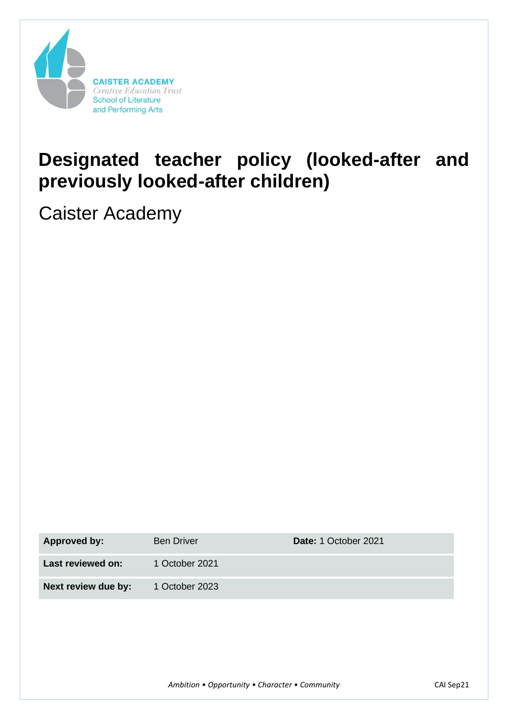

# **Designated teacher policy (looked-after and previously looked-after children)**

Caister Academy

| <b>Approved by:</b> | <b>Ben Driver</b> | Date: 1 October 2021 |
|---------------------|-------------------|----------------------|
| Last reviewed on:   | 1 October 2021    |                      |
| Next review due by: | 1 October 2023    |                      |
|                     |                   |                      |

*Ambition • Opportunity • Character • Community* CAI Sep21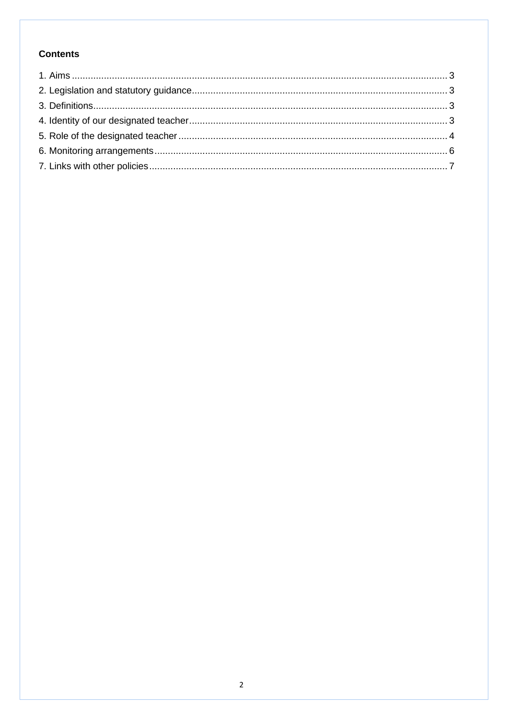# **Contents**

<span id="page-1-0"></span>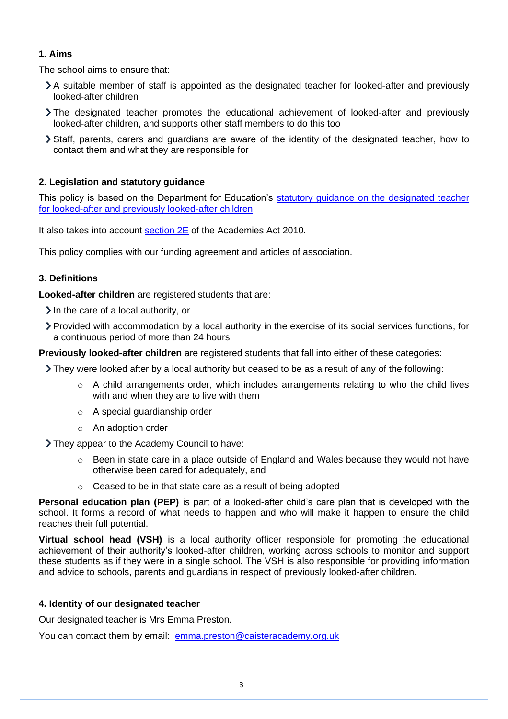#### **1. Aims**

The school aims to ensure that:

- A suitable member of staff is appointed as the designated teacher for looked-after and previously looked-after children
- The designated teacher promotes the educational achievement of looked-after and previously looked-after children, and supports other staff members to do this too
- Staff, parents, carers and guardians are aware of the identity of the designated teacher, how to contact them and what they are responsible for

# <span id="page-2-0"></span>**2. Legislation and statutory guidance**

This policy is based on the Department for Education's [statutory guidance on the designated teacher](https://www.gov.uk/government/publications/designated-teacher-for-looked-after-children)  [for looked-after and previously looked-after children.](https://www.gov.uk/government/publications/designated-teacher-for-looked-after-children)

It also takes into account [section 2E](http://www.legislation.gov.uk/ukpga/2010/32/section/2E) of the Academies Act 2010.

This policy complies with our funding agreement and articles of association.

#### <span id="page-2-1"></span>**3. Definitions**

**Looked-after children** are registered students that are:

 $\lambda$  In the care of a local authority, or

Provided with accommodation by a local authority in the exercise of its social services functions, for a continuous period of more than 24 hours

**Previously looked-after children** are registered students that fall into either of these categories:

They were looked after by a local authority but ceased to be as a result of any of the following:

- $\circ$  A child arrangements order, which includes arrangements relating to who the child lives with and when they are to live with them
- o A special guardianship order
- o An adoption order

They appear to the Academy Council to have:

- $\circ$  Been in state care in a place outside of England and Wales because they would not have otherwise been cared for adequately, and
- o Ceased to be in that state care as a result of being adopted

**Personal education plan (PEP)** is part of a looked-after child's care plan that is developed with the school. It forms a record of what needs to happen and who will make it happen to ensure the child reaches their full potential.

**Virtual school head (VSH)** is a local authority officer responsible for promoting the educational achievement of their authority's looked-after children, working across schools to monitor and support these students as if they were in a single school. The VSH is also responsible for providing information and advice to schools, parents and guardians in respect of previously looked-after children.

## <span id="page-2-2"></span>**4. Identity of our designated teacher**

Our designated teacher is Mrs Emma Preston.

You can contact them by email: [emma.preston@caisteracademy.org.uk](mailto:emma.preston@caisteracademy.org.uk)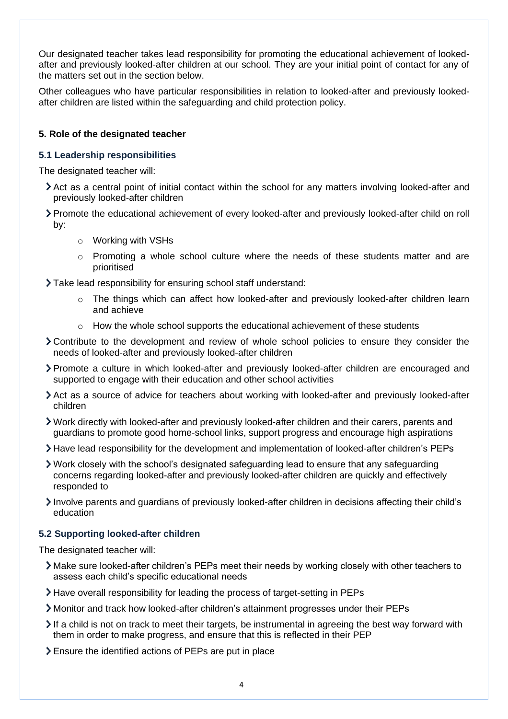Our designated teacher takes lead responsibility for promoting the educational achievement of lookedafter and previously looked-after children at our school. They are your initial point of contact for any of the matters set out in the section below.

Other colleagues who have particular responsibilities in relation to looked-after and previously lookedafter children are listed within the safeguarding and child protection policy.

## <span id="page-3-0"></span>**5. Role of the designated teacher**

#### **5.1 Leadership responsibilities**

The designated teacher will:

- Act as a central point of initial contact within the school for any matters involving looked-after and previously looked-after children
- Promote the educational achievement of every looked-after and previously looked-after child on roll by:
	- o Working with VSHs
	- o Promoting a whole school culture where the needs of these students matter and are prioritised
- Take lead responsibility for ensuring school staff understand:
	- $\circ$  The things which can affect how looked-after and previously looked-after children learn and achieve
	- $\circ$  How the whole school supports the educational achievement of these students
- Contribute to the development and review of whole school policies to ensure they consider the needs of looked-after and previously looked-after children
- Promote a culture in which looked-after and previously looked-after children are encouraged and supported to engage with their education and other school activities
- Act as a source of advice for teachers about working with looked-after and previously looked-after children
- Work directly with looked-after and previously looked-after children and their carers, parents and guardians to promote good home-school links, support progress and encourage high aspirations
- Have lead responsibility for the development and implementation of looked-after children's PEPs
- Work closely with the school's designated safeguarding lead to ensure that any safeguarding concerns regarding looked-after and previously looked-after children are quickly and effectively responded to
- Involve parents and guardians of previously looked-after children in decisions affecting their child's education

#### **5.2 Supporting looked-after children**

The designated teacher will:

- Make sure looked-after children's PEPs meet their needs by working closely with other teachers to assess each child's specific educational needs
- Have overall responsibility for leading the process of target-setting in PEPs
- Monitor and track how looked-after children's attainment progresses under their PEPs
- If a child is not on track to meet their targets, be instrumental in agreeing the best way forward with them in order to make progress, and ensure that this is reflected in their PEP
- Ensure the identified actions of PEPs are put in place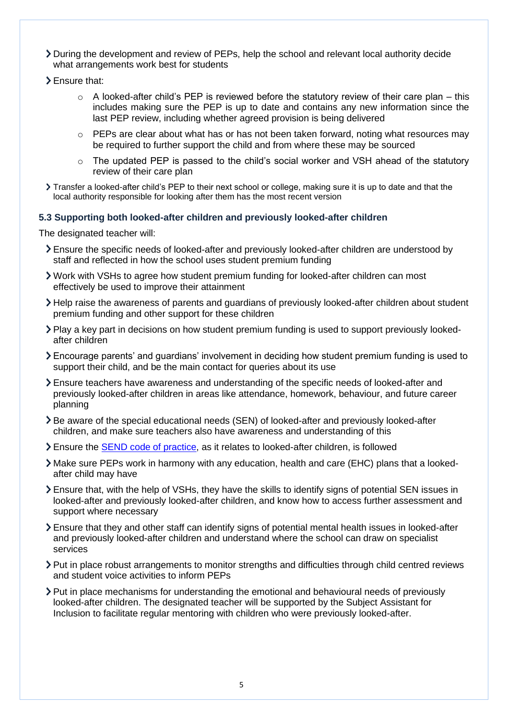- During the development and review of PEPs, help the school and relevant local authority decide what arrangements work best for students
- > Ensure that:
	- $\circ$  A looked-after child's PEP is reviewed before the statutory review of their care plan this includes making sure the PEP is up to date and contains any new information since the last PEP review, including whether agreed provision is being delivered
	- o PEPs are clear about what has or has not been taken forward, noting what resources may be required to further support the child and from where these may be sourced
	- $\circ$  The updated PEP is passed to the child's social worker and VSH ahead of the statutory review of their care plan
- Transfer a looked-after child's PEP to their next school or college, making sure it is up to date and that the local authority responsible for looking after them has the most recent version

#### **5.3 Supporting both looked-after children and previously looked-after children**

The designated teacher will:

- Ensure the specific needs of looked-after and previously looked-after children are understood by staff and reflected in how the school uses student premium funding
- Work with VSHs to agree how student premium funding for looked-after children can most effectively be used to improve their attainment
- Help raise the awareness of parents and guardians of previously looked-after children about student premium funding and other support for these children
- Play a key part in decisions on how student premium funding is used to support previously lookedafter children
- Encourage parents' and guardians' involvement in deciding how student premium funding is used to support their child, and be the main contact for queries about its use
- Ensure teachers have awareness and understanding of the specific needs of looked-after and previously looked-after children in areas like attendance, homework, behaviour, and future career planning
- Be aware of the special educational needs (SEN) of looked-after and previously looked-after children, and make sure teachers also have awareness and understanding of this
- Ensure the [SEND code of practice,](https://www.gov.uk/government/publications/send-code-of-practice-0-to-25) as it relates to looked-after children, is followed
- Make sure PEPs work in harmony with any education, health and care (EHC) plans that a lookedafter child may have
- Ensure that, with the help of VSHs, they have the skills to identify signs of potential SEN issues in looked-after and previously looked-after children, and know how to access further assessment and support where necessary
- Ensure that they and other staff can identify signs of potential mental health issues in looked-after and previously looked-after children and understand where the school can draw on specialist services
- Put in place robust arrangements to monitor strengths and difficulties through child centred reviews and student voice activities to inform PEPs
- Put in place mechanisms for understanding the emotional and behavioural needs of previously looked-after children. The designated teacher will be supported by the Subject Assistant for Inclusion to facilitate regular mentoring with children who were previously looked-after.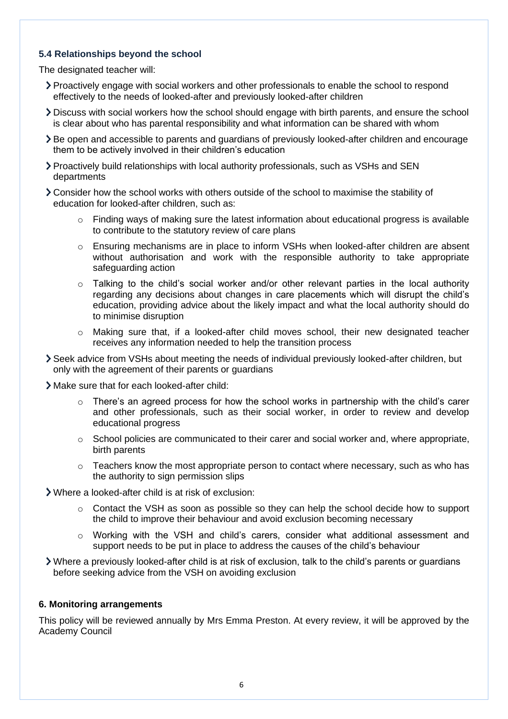#### **5.4 Relationships beyond the school**

The designated teacher will:

- Proactively engage with social workers and other professionals to enable the school to respond effectively to the needs of looked-after and previously looked-after children
- Discuss with social workers how the school should engage with birth parents, and ensure the school is clear about who has parental responsibility and what information can be shared with whom
- Be open and accessible to parents and guardians of previously looked-after children and encourage them to be actively involved in their children's education
- Proactively build relationships with local authority professionals, such as VSHs and SEN departments
- Consider how the school works with others outside of the school to maximise the stability of education for looked-after children, such as:
	- o Finding ways of making sure the latest information about educational progress is available to contribute to the statutory review of care plans
	- $\circ$  Ensuring mechanisms are in place to inform VSHs when looked-after children are absent without authorisation and work with the responsible authority to take appropriate safeguarding action
	- $\circ$  Talking to the child's social worker and/or other relevant parties in the local authority regarding any decisions about changes in care placements which will disrupt the child's education, providing advice about the likely impact and what the local authority should do to minimise disruption
	- o Making sure that, if a looked-after child moves school, their new designated teacher receives any information needed to help the transition process
- Seek advice from VSHs about meeting the needs of individual previously looked-after children, but only with the agreement of their parents or guardians
- Make sure that for each looked-after child:
	- o There's an agreed process for how the school works in partnership with the child's carer and other professionals, such as their social worker, in order to review and develop educational progress
	- o School policies are communicated to their carer and social worker and, where appropriate, birth parents
	- $\circ$  Teachers know the most appropriate person to contact where necessary, such as who has the authority to sign permission slips
- Where a looked-after child is at risk of exclusion:
	- o Contact the VSH as soon as possible so they can help the school decide how to support the child to improve their behaviour and avoid exclusion becoming necessary
	- o Working with the VSH and child's carers, consider what additional assessment and support needs to be put in place to address the causes of the child's behaviour
- Where a previously looked-after child is at risk of exclusion, talk to the child's parents or guardians before seeking advice from the VSH on avoiding exclusion

#### <span id="page-5-0"></span>**6. Monitoring arrangements**

This policy will be reviewed annually by Mrs Emma Preston. At every review, it will be approved by the Academy Council